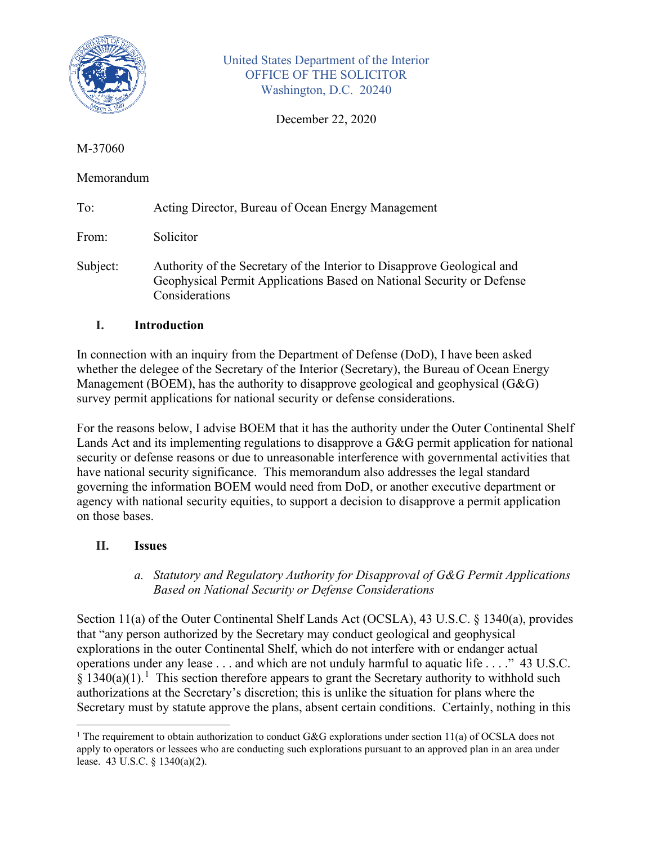

United States Department of the Interior OFFICE OF THE SOLICITOR Washington, D.C. 20240

December 22, 2020

### M-37060

## Memorandum

| To: |  | Acting Director, Bureau of Ocean Energy Management |  |
|-----|--|----------------------------------------------------|--|
|     |  |                                                    |  |

From: Solicitor

Subject: Authority of the Secretary of the Interior to Disapprove Geological and Geophysical Permit Applications Based on National Security or Defense Considerations

# **I. Introduction**

In connection with an inquiry from the Department of Defense (DoD), I have been asked whether the delegee of the Secretary of the Interior (Secretary), the Bureau of Ocean Energy Management (BOEM), has the authority to disapprove geological and geophysical (G&G) survey permit applications for national security or defense considerations.

For the reasons below, I advise BOEM that it has the authority under the Outer Continental Shelf Lands Act and its implementing regulations to disapprove a G&G permit application for national security or defense reasons or due to unreasonable interference with governmental activities that have national security significance. This memorandum also addresses the legal standard governing the information BOEM would need from DoD, or another executive department or agency with national security equities, to support a decision to disapprove a permit application on those bases.

### **II. Issues**

### *a. Statutory and Regulatory Authority for Disapproval of G&G Permit Applications Based on National Security or Defense Considerations*

Section 11(a) of the Outer Continental Shelf Lands Act (OCSLA), 43 U.S.C. § 1340(a), provides that "any person authorized by the Secretary may conduct geological and geophysical explorations in the outer Continental Shelf, which do not interfere with or endanger actual operations under any lease . . . and which are not unduly harmful to aquatic life . . . ." 43 U.S.C.  $\S 1340(a)(1)$  $\S 1340(a)(1)$  $\S 1340(a)(1)$ .<sup>1</sup> This section therefore appears to grant the Secretary authority to withhold such authorizations at the Secretary's discretion; this is unlike the situation for plans where the Secretary must by statute approve the plans, absent certain conditions. Certainly, nothing in this

<span id="page-0-0"></span><sup>&</sup>lt;sup>1</sup> The requirement to obtain authorization to conduct G&G explorations under section 11(a) of OCSLA does not apply to operators or lessees who are conducting such explorations pursuant to an approved plan in an area under lease. 43 U.S.C. § 1340(a)(2).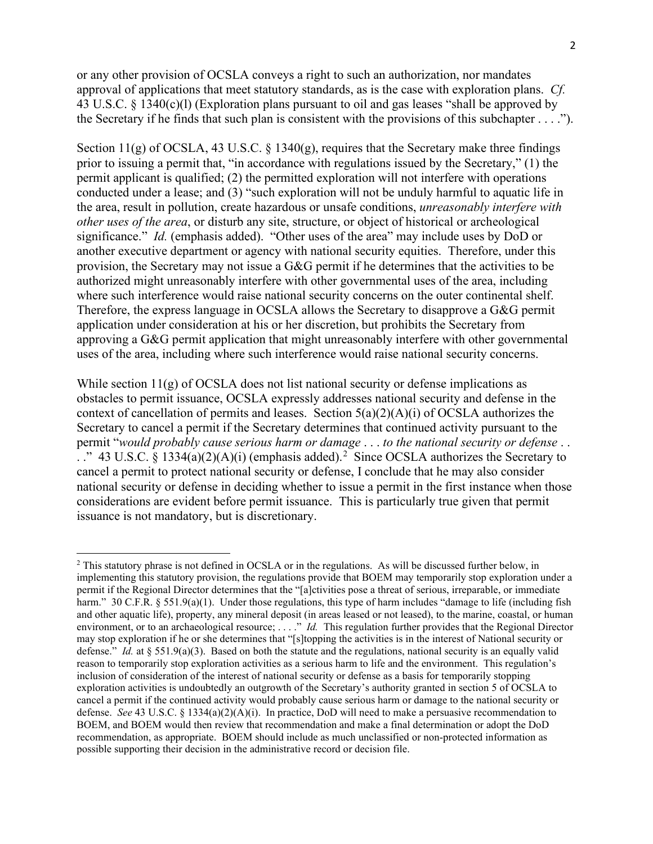or any other provision of OCSLA conveys a right to such an authorization, nor mandates approval of applications that meet statutory standards, as is the case with exploration plans. *Cf.* 43 U.S.C. § 1340(c)(l) (Exploration plans pursuant to oil and gas leases "shall be approved by the Secretary if he finds that such plan is consistent with the provisions of this subchapter . . . .").

Section  $11(g)$  of OCSLA, 43 U.S.C. § 1340 $(g)$ , requires that the Secretary make three findings prior to issuing a permit that, "in accordance with regulations issued by the Secretary," (1) the permit applicant is qualified; (2) the permitted exploration will not interfere with operations conducted under a lease; and (3) "such exploration will not be unduly harmful to aquatic life in the area, result in pollution, create hazardous or unsafe conditions, *unreasonably interfere with other uses of the area*, or disturb any site, structure, or object of historical or archeological significance." *Id.* (emphasis added). "Other uses of the area" may include uses by DoD or another executive department or agency with national security equities. Therefore, under this provision, the Secretary may not issue a G&G permit if he determines that the activities to be authorized might unreasonably interfere with other governmental uses of the area, including where such interference would raise national security concerns on the outer continental shelf. Therefore, the express language in OCSLA allows the Secretary to disapprove a G&G permit application under consideration at his or her discretion, but prohibits the Secretary from approving a G&G permit application that might unreasonably interfere with other governmental uses of the area, including where such interference would raise national security concerns.

While section  $11(g)$  of OCSLA does not list national security or defense implications as obstacles to permit issuance, OCSLA expressly addresses national security and defense in the context of cancellation of permits and leases. Section  $5(a)(2)(A)(i)$  of OCSLA authorizes the Secretary to cancel a permit if the Secretary determines that continued activity pursuant to the permit "*would probably cause serious harm or damage* . . . *to the national security or defense* . . . ." 43 U.S.C. § 1334(a)([2](#page-1-0))(A)(i) (emphasis added).<sup>2</sup> Since OCSLA authorizes the Secretary to cancel a permit to protect national security or defense, I conclude that he may also consider national security or defense in deciding whether to issue a permit in the first instance when those considerations are evident before permit issuance. This is particularly true given that permit issuance is not mandatory, but is discretionary.

<span id="page-1-0"></span><sup>&</sup>lt;sup>2</sup> This statutory phrase is not defined in OCSLA or in the regulations. As will be discussed further below, in implementing this statutory provision, the regulations provide that BOEM may temporarily stop exploration under a permit if the Regional Director determines that the "[a]ctivities pose a threat of serious, irreparable, or immediate harm." 30 C.F.R. § 551.9(a)(1). Under those regulations, this type of harm includes "damage to life (including fish and other aquatic life), property, any mineral deposit (in areas leased or not leased), to the marine, coastal, or human environment, or to an archaeological resource; . . . ." *Id.* This regulation further provides that the Regional Director may stop exploration if he or she determines that "[s]topping the activities is in the interest of National security or defense." *Id.* at § 551.9(a)(3). Based on both the statute and the regulations, national security is an equally valid reason to temporarily stop exploration activities as a serious harm to life and the environment. This regulation's inclusion of consideration of the interest of national security or defense as a basis for temporarily stopping exploration activities is undoubtedly an outgrowth of the Secretary's authority granted in section 5 of OCSLA to cancel a permit if the continued activity would probably cause serious harm or damage to the national security or defense. *See* 43 U.S.C. § 1334(a)(2)(A)(i). In practice, DoD will need to make a persuasive recommendation to BOEM, and BOEM would then review that recommendation and make a final determination or adopt the DoD recommendation, as appropriate. BOEM should include as much unclassified or non-protected information as possible supporting their decision in the administrative record or decision file.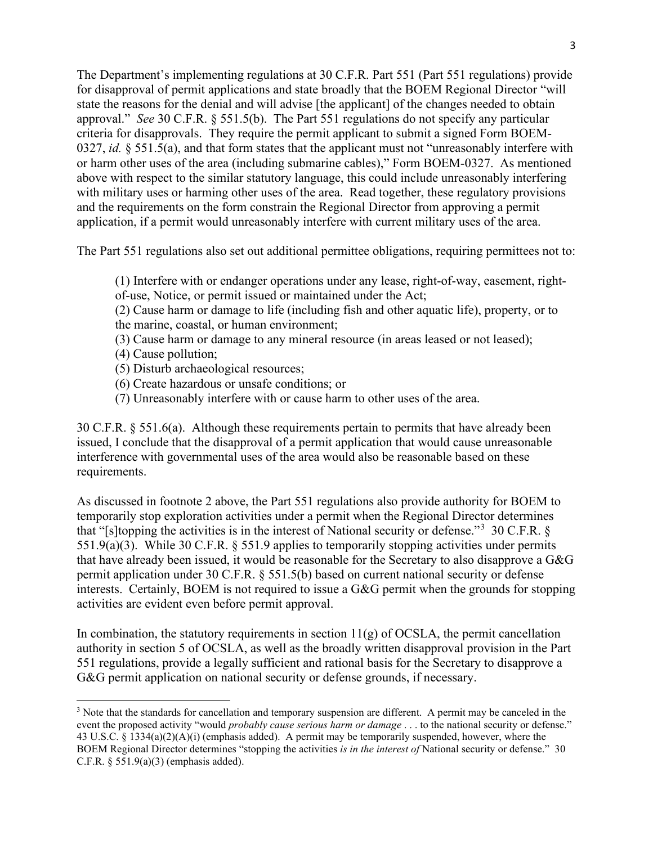The Department's implementing regulations at 30 C.F.R. Part 551 (Part 551 regulations) provide for disapproval of permit applications and state broadly that the BOEM Regional Director "will state the reasons for the denial and will advise [the applicant] of the changes needed to obtain approval." *See* 30 C.F.R. § 551.5(b). The Part 551 regulations do not specify any particular criteria for disapprovals. They require the permit applicant to submit a signed Form BOEM-0327, *id.* § 551.5(a), and that form states that the applicant must not "unreasonably interfere with or harm other uses of the area (including submarine cables)," Form BOEM-0327. As mentioned above with respect to the similar statutory language, this could include unreasonably interfering with military uses or harming other uses of the area. Read together, these regulatory provisions and the requirements on the form constrain the Regional Director from approving a permit application, if a permit would unreasonably interfere with current military uses of the area.

The Part 551 regulations also set out additional permittee obligations, requiring permittees not to:

(1) Interfere with or endanger operations under any lease, right-of-way, easement, rightof-use, Notice, or permit issued or maintained under the Act;

(2) Cause harm or damage to life (including fish and other aquatic life), property, or to the marine, coastal, or human environment;

(3) Cause harm or damage to any mineral resource (in areas leased or not leased);

(4) Cause pollution;

(5) Disturb archaeological resources;

(6) Create hazardous or unsafe conditions; or

(7) Unreasonably interfere with or cause harm to other uses of the area.

30 C.F.R. § 551.6(a). Although these requirements pertain to permits that have already been issued, I conclude that the disapproval of a permit application that would cause unreasonable interference with governmental uses of the area would also be reasonable based on these requirements.

As discussed in footnote 2 above, the Part 551 regulations also provide authority for BOEM to temporarily stop exploration activities under a permit when the Regional Director determines that "[s] topping the activities is in the interest of National security or defense."<sup>[3](#page-2-0)</sup> 30 C.F.R. § 551.9(a)(3). While 30 C.F.R. § 551.9 applies to temporarily stopping activities under permits that have already been issued, it would be reasonable for the Secretary to also disapprove a G&G permit application under 30 C.F.R. § 551.5(b) based on current national security or defense interests. Certainly, BOEM is not required to issue a G&G permit when the grounds for stopping activities are evident even before permit approval.

In combination, the statutory requirements in section  $11(g)$  of OCSLA, the permit cancellation authority in section 5 of OCSLA, as well as the broadly written disapproval provision in the Part 551 regulations, provide a legally sufficient and rational basis for the Secretary to disapprove a G&G permit application on national security or defense grounds, if necessary.

<span id="page-2-0"></span><sup>&</sup>lt;sup>3</sup> Note that the standards for cancellation and temporary suspension are different. A permit may be canceled in the event the proposed activity "would *probably cause serious harm or damage* . . . to the national security or defense." 43 U.S.C. § 1334(a)(2)(A)(i) (emphasis added). A permit may be temporarily suspended, however, where the BOEM Regional Director determines "stopping the activities *is in the interest of* National security or defense." 30 C.F.R. § 551.9(a)(3) (emphasis added).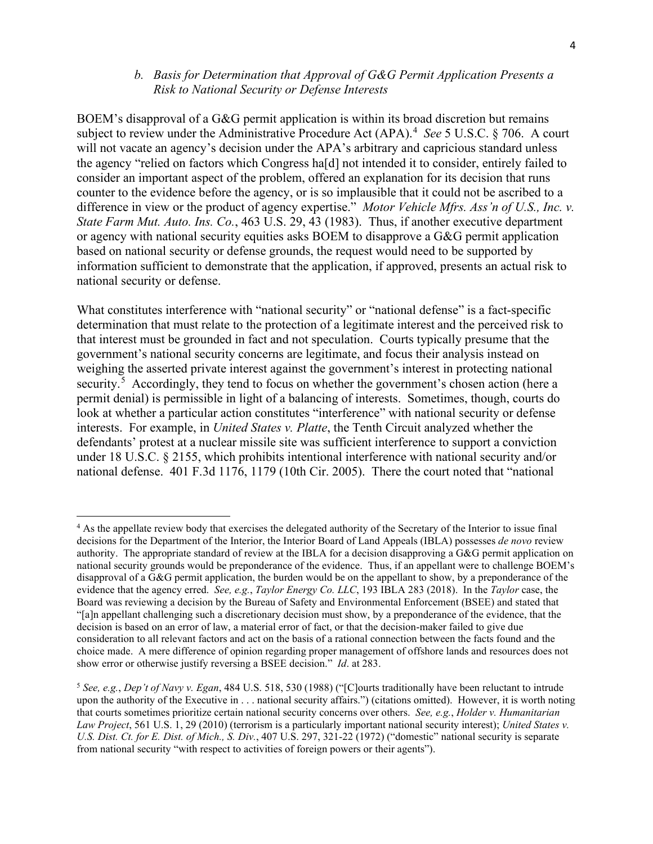#### *b. Basis for Determination that Approval of G&G Permit Application Presents a Risk to National Security or Defense Interests*

BOEM's disapproval of a G&G permit application is within its broad discretion but remains subject to review under the Administrative Procedure Act (APA). [4](#page-3-0) *See* 5 U.S.C. § 706. A court will not vacate an agency's decision under the APA's arbitrary and capricious standard unless the agency "relied on factors which Congress ha[d] not intended it to consider, entirely failed to consider an important aspect of the problem, offered an explanation for its decision that runs counter to the evidence before the agency, or is so implausible that it could not be ascribed to a difference in view or the product of agency expertise." *Motor Vehicle Mfrs. Ass'n of U.S., Inc. v. State Farm Mut. Auto. Ins. Co.*, 463 U.S. 29, 43 (1983). Thus, if another executive department or agency with national security equities asks BOEM to disapprove a G&G permit application based on national security or defense grounds, the request would need to be supported by information sufficient to demonstrate that the application, if approved, presents an actual risk to national security or defense.

What constitutes interference with "national security" or "national defense" is a fact-specific determination that must relate to the protection of a legitimate interest and the perceived risk to that interest must be grounded in fact and not speculation. Courts typically presume that the government's national security concerns are legitimate, and focus their analysis instead on weighing the asserted private interest against the government's interest in protecting national security.<sup>[5](#page-3-1)</sup> Accordingly, they tend to focus on whether the government's chosen action (here a permit denial) is permissible in light of a balancing of interests. Sometimes, though, courts do look at whether a particular action constitutes "interference" with national security or defense interests. For example, in *United States v. Platte*, the Tenth Circuit analyzed whether the defendants' protest at a nuclear missile site was sufficient interference to support a conviction under 18 U.S.C. § 2155, which prohibits intentional interference with national security and/or national defense. 401 F.3d 1176, 1179 (10th Cir. 2005). There the court noted that "national

<span id="page-3-0"></span><sup>&</sup>lt;sup>4</sup> As the appellate review body that exercises the delegated authority of the Secretary of the Interior to issue final decisions for the Department of the Interior, the Interior Board of Land Appeals (IBLA) possesses *de novo* review authority. The appropriate standard of review at the IBLA for a decision disapproving a G&G permit application on national security grounds would be preponderance of the evidence. Thus, if an appellant were to challenge BOEM's disapproval of a G&G permit application, the burden would be on the appellant to show, by a preponderance of the evidence that the agency erred. *See, e.g.*, *Taylor Energy Co. LLC*, 193 IBLA 283 (2018). In the *Taylor* case, the Board was reviewing a decision by the Bureau of Safety and Environmental Enforcement (BSEE) and stated that "[a]n appellant challenging such a discretionary decision must show, by a preponderance of the evidence, that the decision is based on an error of law, a material error of fact, or that the decision-maker failed to give due consideration to all relevant factors and act on the basis of a rational connection between the facts found and the choice made. A mere difference of opinion regarding proper management of offshore lands and resources does not show error or otherwise justify reversing a BSEE decision." *Id*. at 283.

<span id="page-3-1"></span><sup>5</sup> *See, e.g.*, *Dep't of Navy v. Egan*, 484 U.S. 518, 530 (1988) ("[C]ourts traditionally have been reluctant to intrude upon the authority of the Executive in . . . national security affairs.") (citations omitted). However, it is worth noting that courts sometimes prioritize certain national security concerns over others. *See, e.g.*, *Holder v. Humanitarian Law Project*, 561 U.S. 1, 29 (2010) (terrorism is a particularly important national security interest); *United States v. U.S. Dist. Ct. for E. Dist. of Mich., S. Div.*, 407 U.S. 297, 321-22 (1972) ("domestic" national security is separate from national security "with respect to activities of foreign powers or their agents").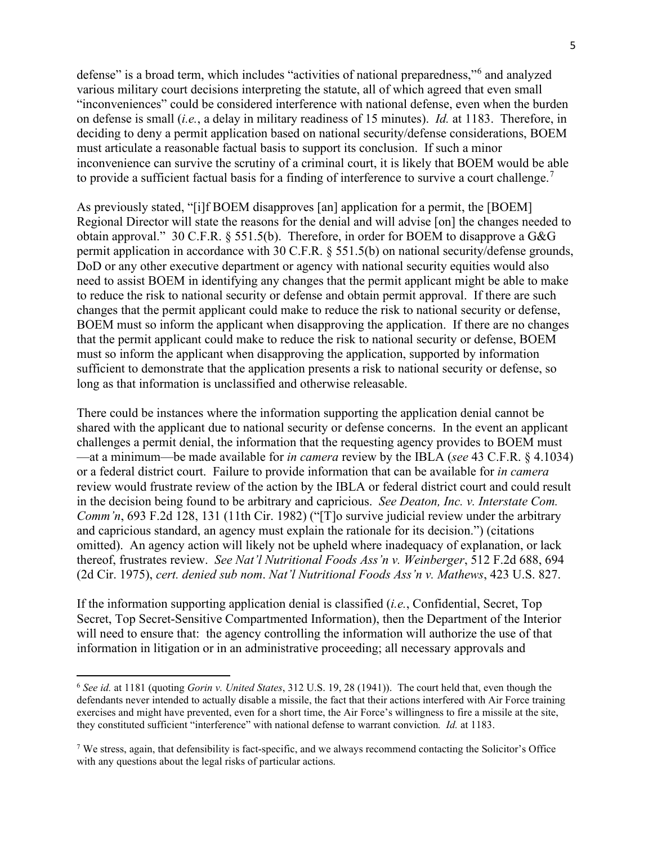defense" is a broad term, which includes "activities of national preparedness,"<sup>[6](#page-4-0)</sup> and analyzed various military court decisions interpreting the statute, all of which agreed that even small "inconveniences" could be considered interference with national defense, even when the burden on defense is small (*i.e.*, a delay in military readiness of 15 minutes). *Id.* at 1183. Therefore, in deciding to deny a permit application based on national security/defense considerations, BOEM must articulate a reasonable factual basis to support its conclusion. If such a minor inconvenience can survive the scrutiny of a criminal court, it is likely that BOEM would be able to provide a sufficient factual basis for a finding of interference to survive a court challenge.<sup>[7](#page-4-1)</sup>

As previously stated, "[i]f BOEM disapproves [an] application for a permit, the [BOEM] Regional Director will state the reasons for the denial and will advise [on] the changes needed to obtain approval." 30 C.F.R. § 551.5(b). Therefore, in order for BOEM to disapprove a G&G permit application in accordance with 30 C.F.R. § 551.5(b) on national security/defense grounds, DoD or any other executive department or agency with national security equities would also need to assist BOEM in identifying any changes that the permit applicant might be able to make to reduce the risk to national security or defense and obtain permit approval. If there are such changes that the permit applicant could make to reduce the risk to national security or defense, BOEM must so inform the applicant when disapproving the application. If there are no changes that the permit applicant could make to reduce the risk to national security or defense, BOEM must so inform the applicant when disapproving the application, supported by information sufficient to demonstrate that the application presents a risk to national security or defense, so long as that information is unclassified and otherwise releasable.

There could be instances where the information supporting the application denial cannot be shared with the applicant due to national security or defense concerns. In the event an applicant challenges a permit denial, the information that the requesting agency provides to BOEM must —at a minimum—be made available for *in camera* review by the IBLA (*see* 43 C.F.R. § 4.1034) or a federal district court. Failure to provide information that can be available for *in camera* review would frustrate review of the action by the IBLA or federal district court and could result in the decision being found to be arbitrary and capricious. *See Deaton, Inc. v. Interstate Com. Comm'n*, 693 F.2d 128, 131 (11th Cir. 1982) ("[T]o survive judicial review under the arbitrary and capricious standard, an agency must explain the rationale for its decision.") (citations omitted). An agency action will likely not be upheld where inadequacy of explanation, or lack thereof, frustrates review. *See Nat'l Nutritional Foods Ass'n v. Weinberger*, 512 F.2d 688, 694 (2d Cir. 1975), *cert. denied sub nom*. *Nat'l Nutritional Foods Ass'n v. Mathews*, 423 U.S. 827.

If the information supporting application denial is classified (*i.e.*, Confidential, Secret, Top Secret, Top Secret-Sensitive Compartmented Information), then the Department of the Interior will need to ensure that: the agency controlling the information will authorize the use of that information in litigation or in an administrative proceeding; all necessary approvals and

<span id="page-4-0"></span><sup>6</sup> *See id.* at 1181 (quoting *Gorin v. United States*, 312 U.S. 19, 28 (1941)). The court held that, even though the defendants never intended to actually disable a missile, the fact that their actions interfered with Air Force training exercises and might have prevented, even for a short time, the Air Force's willingness to fire a missile at the site, they constituted sufficient "interference" with national defense to warrant conviction*. Id.* at 1183.

<span id="page-4-1"></span> $7$  We stress, again, that defensibility is fact-specific, and we always recommend contacting the Solicitor's Office with any questions about the legal risks of particular actions.